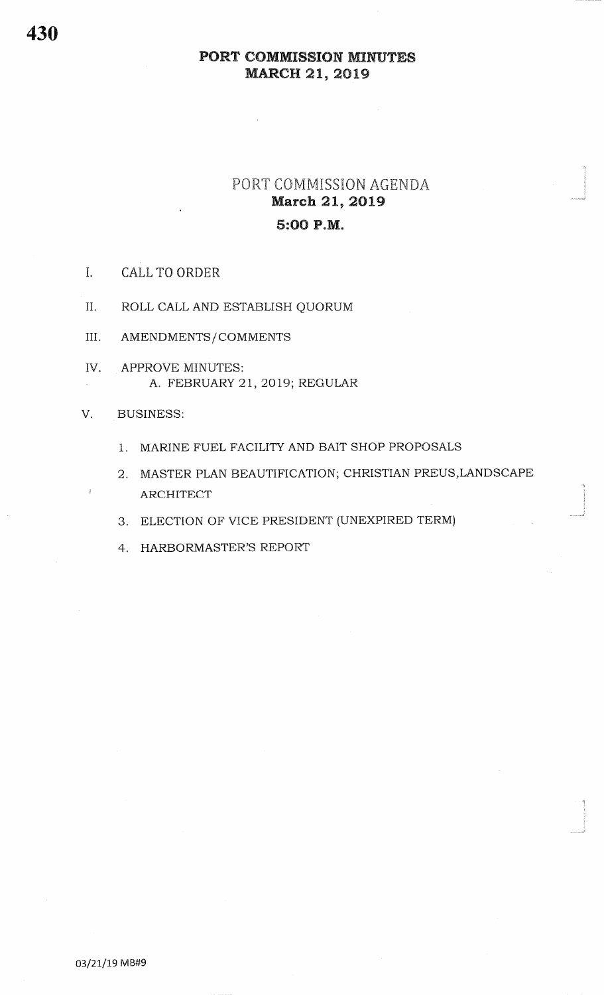# PORT COMMISSION AGENDA **March 21, 2019** 5:00 P.M.

- $\mathbf{I}$ . **CALL TO ORDER**
- II. ROLL CALL AND ESTABLISH QUORUM
- III. AMENDMENTS/COMMENTS
- IV. APPROVE MINUTES: A. FEBRUARY 21, 2019; REGULAR
- **BUSINESS:** V.
	- 1. MARINE FUEL FACILITY AND BAIT SHOP PROPOSALS
	- 2. MASTER PLAN BEAUTIFICATION; CHRISTIAN PREUS, LANDSCAPE ARCHITECT
	- 3. ELECTION OF VICE PRESIDENT (UNEXPIRED TERM)
	- 4. HARBORMASTER'S REPORT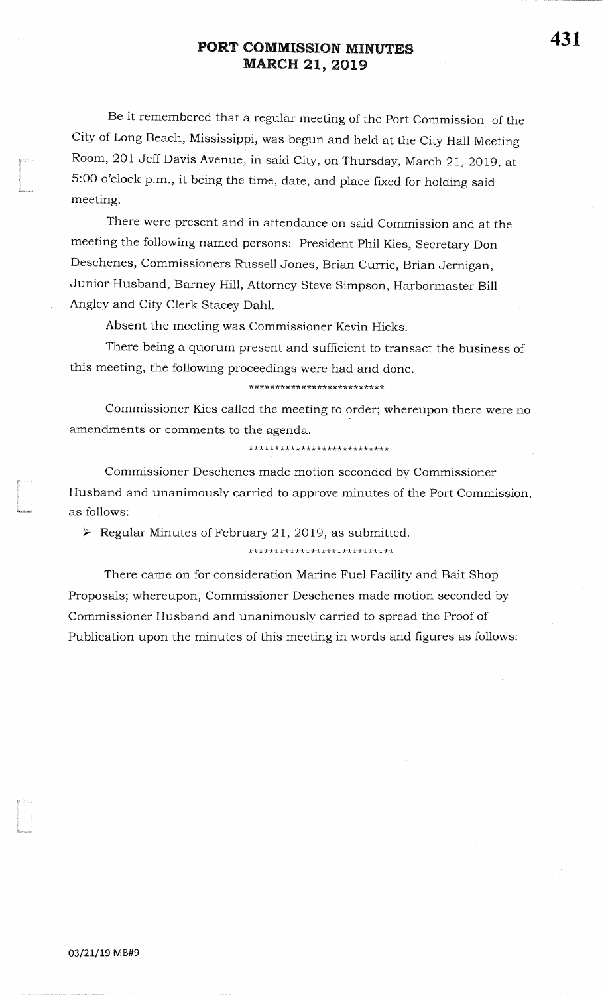Be it remembered that a regular meeting of the Port Commission of theCity of Long Beach, Mississippi, was begun and held at the City Hall Meeting Room, 201 Jeff Davis Avenue, in said City, on Thursday, March 21, 2019, at 5:00 o'clock p.m., it being the time, date, and place fixed for holding said meeting.

There were present and in attendance on said Commission and at themeeting the following named persons: President Phil Kies, Secretary Don Deschenes, Commissioners Russell Jones, Brian Currie, Brian Jernigan,Junior Husband, Barney Hill, Attorney Steve Simpson, Harbormaster Bill Angley and City Clerk Stacey Dahl.

Absent the meeting was Commissioner Kevin Hicks.

There being a quorum present and sufficient to transact the business ofthis meeting, the following proceedings were had and done.

\*\*\*\*\*\*\*\*\*\*\*\*\*\*\*\*\*\*\*\*\*\*\*\*\*\*

Commissioner Kies called the meeting to order; whereupon there were no amendments or comments to the agenda.

\*\*\*\*\*\*\*\*\*\*\*\*\*\*\*\*\*\*\*\*\*\*\*\*\*\*\*

Commissioner Deschenes made motion seconded by Commissioner Husband and unanimously carried to approve minutes of the Port Commission,as follows:

 $\triangleright$  Regular Minutes of February 21, 2019, as submitted.

#### \*\*\*\*\*\*\*\*\*\*\*\*\*\*\*\*\*\*\*\*\*\*\*\*\*\*\*\*\*

There came on for consideration Marine Fuel Facility and Bait ShopProposals; whereupon, Commissioner Deschenes made motion seconded byCommissioner Husband and unanimously carried to spread the Proof ofPublication upon the minutes of this meeting in words and figures as follows:

f'

tt "

i<br>Isaanna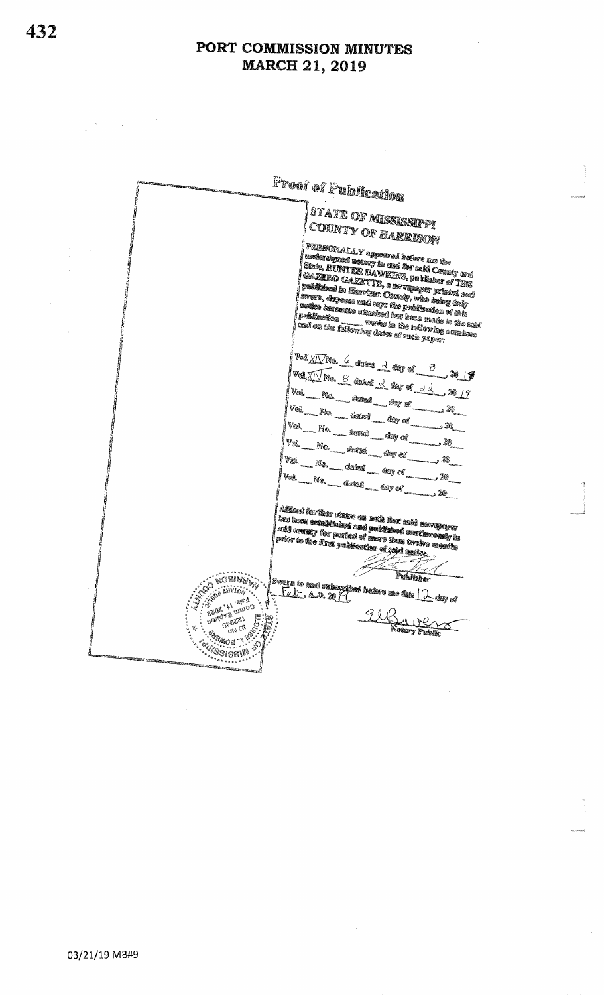Froor of Publication <sup>|</sup>STATE OF **MISSISSIP**P! county of earrison ļ | PERSONALLY appeared before me the<br>| nedershysed actory is usd for asid Ceusty and<br>| State, HUNTER DAWKHNS, publisher of Thur<br>| names in a creation action and and Conservation of the conservation of the conservation of the conservation of the conservation of the conservation of the conservation of the conservation of the conservation of the conservation of the conservation of the co ent and the state of the control of the state of the state of the state of the state of the state of the state of the state of the state of the state of the state of the state of the state of the state of the state of the tand on the following dates of such peper;<br>|bahilantion<br>|bahilantion -------- verke is the following semicostru VelXIVNo. 6 dated 2 day of 3 VOLTING S daved & day of dd 2017 . 28 | 7 Val \_ No. \_ \_ datest \_ \_ day of .<br>Vext an an S m NG --- deletion ---- dely of ...... Vol. اللا د  $V_{\rm 0k}$ , 26 - <sup>No.</sup> - datud - day of .  $\sqrt{28}$ Vel n. <sup>No.</sup> – dekel <sub>– dek</sub>ely of  $V_{\rm 6h}$ 20 د . 20 i<br>| Adiinati further states on cath that men percyclose<br>| lans beam catalolished and published conditionedly in<br>| and commty for perfact of meters floor twelve measure **Private constant and provision to convert constant of the constant of the constant of the constant of the const**<br>The constant of the films problem constant of galaxies and constant Publisher **SOSING A** i Milim . **Alexandra** GENERAL PROTECT TUBUNG T ŗ. **ANG KAB**<br>ADAMA **ANDER Existent** Š

 $\mathbb{Z}^2 \times \mathbb{Z}^2$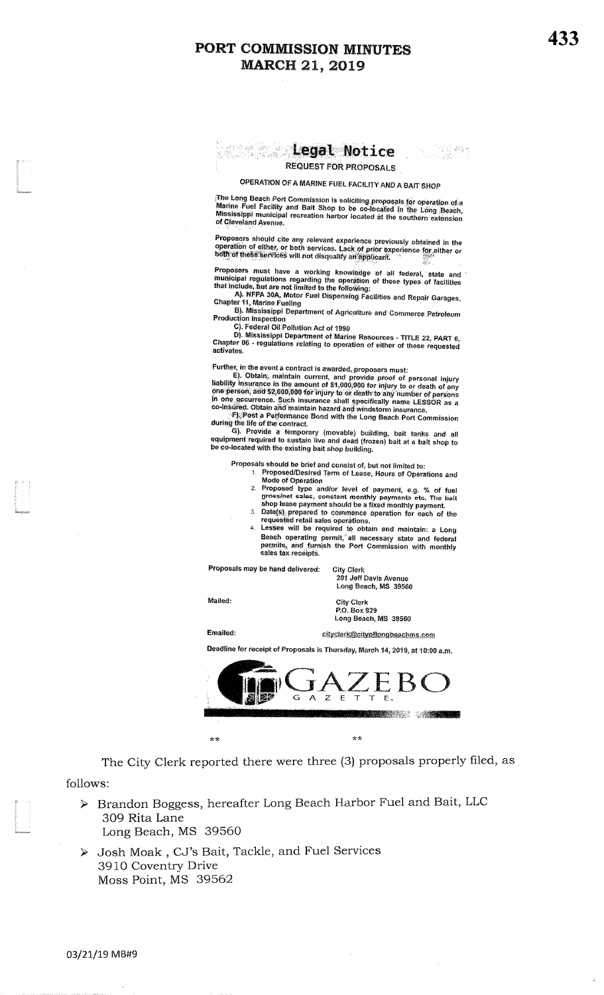#### **Example Separate Address Separate Separate Separate Separate Separate Separate Separate Separate Separate Separate Separate Separate Separate Separate Separate Separate Separate Separate Separate Separate Separate Separat REQUEST FOR PROPOSALS**

#### OPERATION OF A MARINE FUEL FACILITY AND A BAIT SHOP

The Long Beach Port Commission is soliciting proposals for operation of a<br>Marine Fuel Facility and Bait Shop to be co-located in the Long Beach,<br>Mississippi municipal recreation harbor located at the southern extension<br>of of Cleveland Avenue.

Proposers should cite any relevant experience previously obtained in the<br>operation of either, or both services. Lack of prior experience for either or<br>both of these services will not disquality an applicant.

**Proposers must have a working knowledge of all federal, state and municipal regulations regarding the operation of these types of facilities that include, but are not limited to the following:**<br>A). NFFA 30A, Motor Fuel Di

B). Mississippi Department of Agriculture and Commerce Petroleum Production Inspection

C. Federal Oil Pollution Act of 1990<br>D. Mississippi Department of Marine Resources - TITLE 22, PART 6,<br>Chapter 06 - regulations relating to operation of either of these requested activates.

Further, in the event a contract is awarded, proposers must:<br>
E). Obtain, maintain current, and provide proof of personal injury<br>
liability insurance in the amount of \$1,000,000 for injury to or death of any<br>
one person;

- Proposals should be brief and consist of, but not limited to:<br>1. Proposed/Desired Term of Lease, Hours of Operations and
	- 1. Proposed/Desired Term of Lease, Hours of Operations and<br>
	Mode of Operation<br>
	2. Proposed type and/or level of payment, e.g. % of fuel<br>
	gross/net sales, constant monthly payments etc. The bait<br>
	shop lease payment should
		-
	- Beach operating permit, all necessary state and federal<br>permits, and furnish the Port Commission with monthly<br>sales tax receipts.

Proposals may be hand delivered:

**City Clerk**<br>201 Jeff Davis Avenue Long Beach, MS 39560

Mailed:

City-Clerk P.O. Box 929 Long Beach, MS 39560

cityclerk@cityoflongbeachms.com

**Emailed:** 

Deadline for receipt of Proposals is Thursday, March 14, 2019, at 10:00 a.m.



The City Clerk reported there were three (3) proposals properly filed, as

follows:

- > Brandon Boggess, hereafter Long Beach Harbor Fuel and Bait, LLC 309 Rita Lane Long Beach, MS 39560
- > Josh Moak, CJ's Bait, Tackle, and Fuel Services 3910 Coventry Drive Moss Point, MS 39562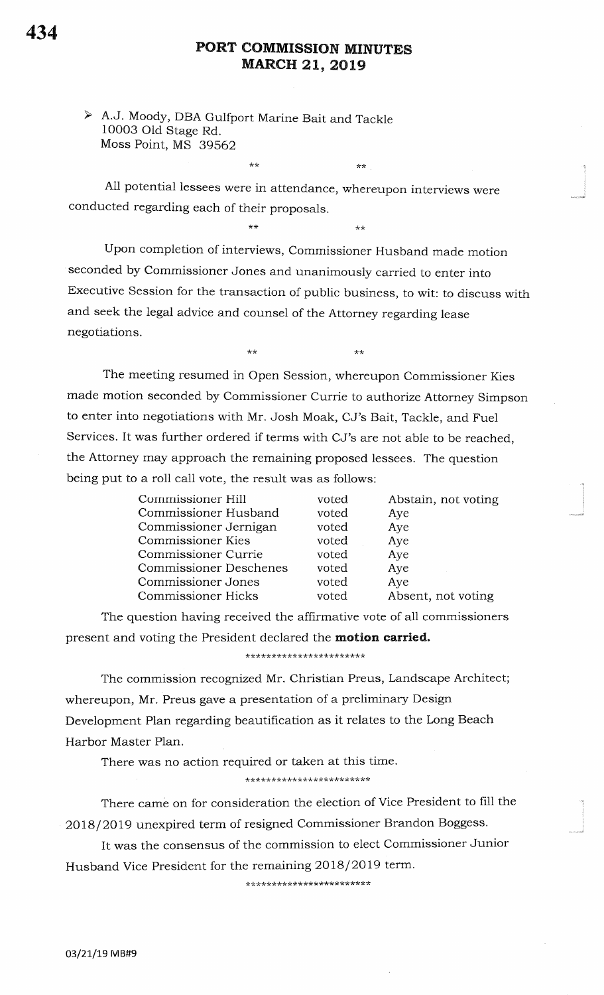$**$ 

 $***$ 

 $\star\star$ 

> A.J. Moody, DBA Gulfport Marine Bait and Tackle 10003 Old Stage Rd. Moss Point, MS 39562

 $**$ 

 $+ +$ 

All potential lessees were in attendance, whereupon interviews were conducted regarding each of their proposals.

Upon completion of interviews, Commissioner Husband made motion seconded by Commissioner Jones and unanimously carried to enter into Executive Session for the transaction of public business, to wit: to discuss with and seek the legal advice and counsel of the Attorney regarding lease negotiations.

The meeting resumed in Open Session, whereupon Commissioner Kies made motion seconded by Commissioner Currie to authorize Attorney Simpson to enter into negotiations with Mr. Josh Moak, CJ's Bait, Tackle, and Fuel Services. It was further ordered if terms with CJ's are not able to be reached, the Attorney may approach the remaining proposed lessees. The question being put to a roll call vote, the result was as follows:

| Commissioner Hill             | voted | Abstain, not voting |
|-------------------------------|-------|---------------------|
| Commissioner Husband          | voted | Aye                 |
| Commissioner Jernigan         | voted | Aye                 |
| Commissioner Kies             | voted | Aye                 |
| Commissioner Currie           | voted | Aye                 |
| <b>Commissioner Deschenes</b> | voted | Aye                 |
| Commissioner Jones            | voted | Aye                 |
| <b>Commissioner Hicks</b>     | voted | Absent, not voting  |

The question having received the affirmative vote of all commissioners present and voting the President declared the motion carried.

\*\*\*\*\*\*\*\*\*\*\*\*\*\*\*\*\*\*\*\*\*\*\*

The commission recognized Mr. Christian Preus, Landscape Architect; whereupon, Mr. Preus gave a presentation of a preliminary Design Development Plan regarding beautification as it relates to the Long Beach Harbor Master Plan.

There was no action required or taken at this time.

\*\*\*\*\*\*\*\*\*\*\*\*\*\*\*\*\*\*\*\*\*\*\*\*

There came on for consideration the election of Vice President to fill the 2018/2019 unexpired term of resigned Commissioner Brandon Boggess.

It was the consensus of the commission to elect Commissioner Junior Husband Vice President for the remaining 2018/2019 term.

\*\*\*\*\*\*\*\*\*\*\*\*\*\*\*\*\*\*\*\*\*\*\*\*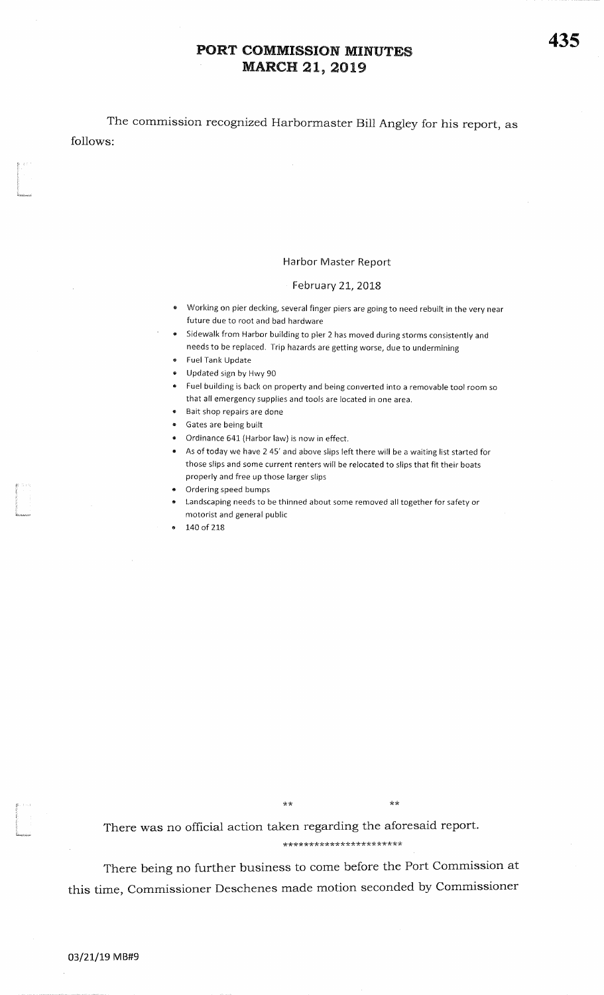followsThe commission recognized Harbormaster Bill Angley for his report, as

#### Harbor Master Report

#### February 21, 2018

- \* Working on pier decking, several finger piers are going to need rebuilt in the very near future due to root and bad hardware
- **•** Sidewalk from Harbor building to pier 2 has moved during storms consistently and needs to be replaced. Trip hazards are getting worse, due to undermining
- Fuel Tank Update

I r''

i<br>Insabasa

?rtrl<br>Lili<br>Manasara

- **Updated sign by Hwy 90**
- Fuel building is back on property and being converted into a removable tool room so that all emergency supplies and tools are located in one area.
- **Bait shop repairs are done**
- . Gates are being built
- Ordinance 641 (Harbor law) is now in effect.
- . As of today we have 2 45' and above slips left there will be a waiting list started forthose slips and some current renters will be relocated to slips that fit their boatsproperly and free up those larger slips
- <sup>r</sup>Ordering speed bumps
- **1** Landscaping needs to be thinned about some removed all together for safety or motorist and general public
- 140 of 218

 $\star\star$ 

\*\*<br>There was no official action taken regarding the af There was no officiat action taken regarding the aforesaid report.

\*\*\*\* r( tr\* \*\*\* tr tr r( ?ktst(:ktr\*\*t(\*\*

\*\*

There being no further business to come before the Port Commission at this time, Commissioner Deschenes made motion seconded by Commissioner